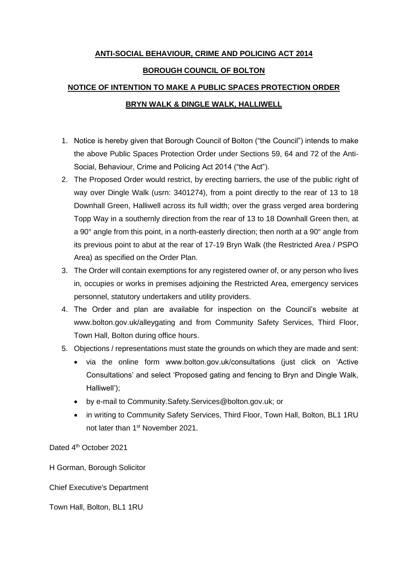## **ANTI-SOCIAL BEHAVIOUR, CRIME AND POLICING ACT 2014**

#### **BOROUGH COUNCIL OF BOLTON**

# **NOTICE OF INTENTION TO MAKE A PUBLIC SPACES PROTECTION ORDER BRYN WALK & DINGLE WALK, HALLIWELL**

- 1. Notice is hereby given that Borough Council of Bolton ("the Council") intends to make the above Public Spaces Protection Order under Sections 59, 64 and 72 of the Anti-Social, Behaviour, Crime and Policing Act 2014 ("the Act").
- 2. The Proposed Order would restrict, by erecting barriers, the use of the public right of way over Dingle Walk (usrn: 3401274), from a point directly to the rear of 13 to 18 Downhall Green, Halliwell across its full width; over the grass verged area bordering Topp Way in a southernly direction from the rear of 13 to 18 Downhall Green then, at a 90° angle from this point, in a north-easterly direction; then north at a 90° angle from its previous point to abut at the rear of 17-19 Bryn Walk (the Restricted Area / PSPO Area) as specified on the Order Plan.
- 3. The Order will contain exemptions for any registered owner of, or any person who lives in, occupies or works in premises adjoining the Restricted Area, emergency services personnel, statutory undertakers and utility providers.
- 4. The Order and plan are available for inspection on the Council's website at www.bolton.gov.uk/alleygating and from Community Safety Services, Third Floor, Town Hall, Bolton during office hours.
- 5. Objections / representations must state the grounds on which they are made and sent:
	- via the online form www.bolton.gov.uk/consultations (just click on 'Active Consultations' and select 'Proposed gating and fencing to Bryn and Dingle Walk, Halliwell');
	- by e-mail to Community.Safety.Services@bolton.gov.uk; or
	- in writing to Community Safety Services, Third Floor, Town Hall, Bolton, BL1 1RU not later than 1<sup>st</sup> November 2021.

Dated 4<sup>th</sup> October 2021

H Gorman, Borough Solicitor

Chief Executive's Department

Town Hall, Bolton, BL1 1RU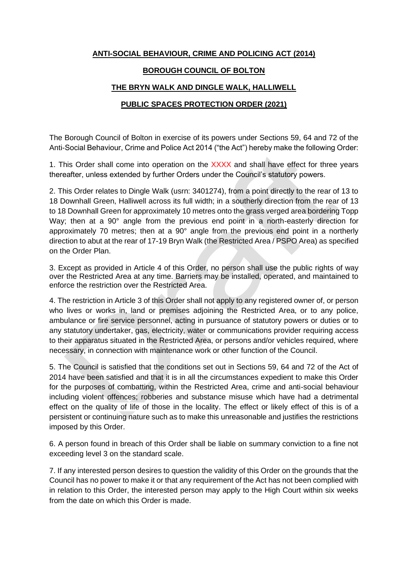## **ANTI-SOCIAL BEHAVIOUR, CRIME AND POLICING ACT (2014)**

#### **BOROUGH COUNCIL OF BOLTON**

#### **THE BRYN WALK AND DINGLE WALK, HALLIWELL**

## **PUBLIC SPACES PROTECTION ORDER (2021)**

The Borough Council of Bolton in exercise of its powers under Sections 59, 64 and 72 of the Anti-Social Behaviour, Crime and Police Act 2014 ("the Act") hereby make the following Order:

1. This Order shall come into operation on the XXXX and shall have effect for three years thereafter, unless extended by further Orders under the Council's statutory powers.

2. This Order relates to Dingle Walk (usrn: 3401274), from a point directly to the rear of 13 to 18 Downhall Green, Halliwell across its full width; in a southerly direction from the rear of 13 to 18 Downhall Green for approximately 10 metres onto the grass verged area bordering Topp Way; then at a 90° angle from the previous end point in a north-easterly direction for approximately 70 metres; then at a 90° angle from the previous end point in a northerly direction to abut at the rear of 17-19 Bryn Walk (the Restricted Area / PSPO Area) as specified on the Order Plan.

3. Except as provided in Article 4 of this Order, no person shall use the public rights of way over the Restricted Area at any time. Barriers may be installed, operated, and maintained to enforce the restriction over the Restricted Area.

4. The restriction in Article 3 of this Order shall not apply to any registered owner of, or person who lives or works in, land or premises adjoining the Restricted Area, or to any police, ambulance or fire service personnel, acting in pursuance of statutory powers or duties or to any statutory undertaker, gas, electricity, water or communications provider requiring access to their apparatus situated in the Restricted Area, or persons and/or vehicles required, where necessary, in connection with maintenance work or other function of the Council.

5. The Council is satisfied that the conditions set out in Sections 59, 64 and 72 of the Act of 2014 have been satisfied and that it is in all the circumstances expedient to make this Order for the purposes of combatting, within the Restricted Area, crime and anti-social behaviour including violent offences; robberies and substance misuse which have had a detrimental effect on the quality of life of those in the locality. The effect or likely effect of this is of a persistent or continuing nature such as to make this unreasonable and justifies the restrictions imposed by this Order.

6. A person found in breach of this Order shall be liable on summary conviction to a fine not exceeding level 3 on the standard scale.

7. If any interested person desires to question the validity of this Order on the grounds that the Council has no power to make it or that any requirement of the Act has not been complied with in relation to this Order, the interested person may apply to the High Court within six weeks from the date on which this Order is made.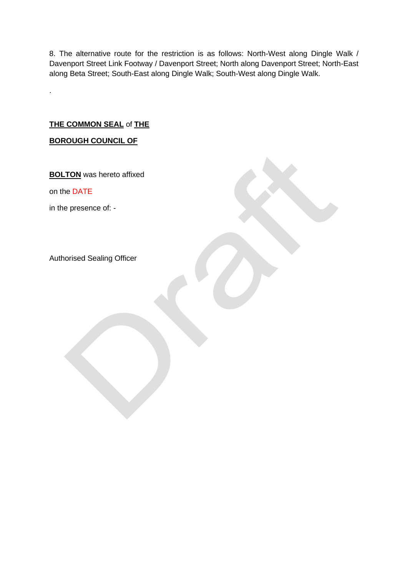8. The alternative route for the restriction is as follows: North-West along Dingle Walk / Davenport Street Link Footway / Davenport Street; North along Davenport Street; North-East along Beta Street; South-East along Dingle Walk; South-West along Dingle Walk.

**THE COMMON SEAL** of **THE**

**BOROUGH COUNCIL OF**

**BOLTON** was hereto affixed

on the DATE

.

in the presence of: -

Authorised Sealing Officer